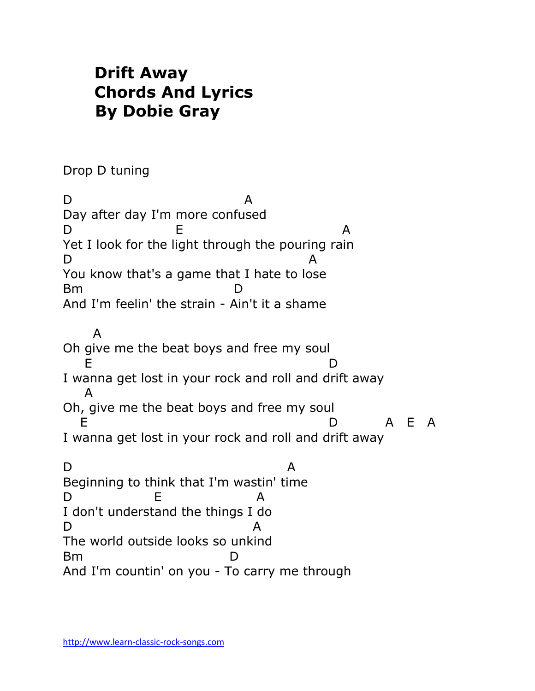## **Drift Away Chords And Lyrics By Dobie Gray**

Drop D tuning

D A Day after day I'm more confused D E A Yet I look for the light through the pouring rain D A You know that's a game that I hate to lose Bm D And I'm feelin' the strain - Ain't it a shame A Oh give me the beat boys and free my soul E D I wanna get lost in your rock and roll and drift away A Oh, give me the beat boys and free my soul E D A E A I wanna get lost in your rock and roll and drift away D A Beginning to think that I'm wastin' time D E A I don't understand the things I do D A The world outside looks so unkind  $Bm$ And I'm countin' on you - To carry me through